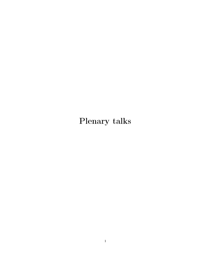# Plenary talks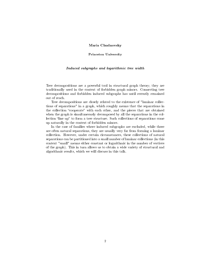## Maria Chudnovsky

#### Princeton University

#### Induced subgraphs and logarithmic tree width

Tree decompositions are a powerful tool in structural graph theory; they are traditionally used in the context of forbidden graph minors. Connecting tree decompositions and forbidden induced subgraphs has until recently remained out of reach.

Tree decompositions are closely related to the existence of "laminar collections of separations" in a graph, which roughly means that the separations in the collection "cooperate" with each other, and the pieces that are obtained when the graph is simultaneously decomposed by all the separations in the collection "line up" to form a tree structure. Such collections of separations come up naturally in the context of forbidden minors.

In the case of families where induced subgraphs are excluded, while there are often natural separations, they are usually very far from forming a laminar collection. However, under certain circumstances, these collections of natural separations can be partitioned into a small number of laminar collections (in this context "small" means either constant or logarithmic in the number of vertices of the graph). This in turn allows us to obtain a wide variety of structural and algorithmic results, which we will discuss in this talk.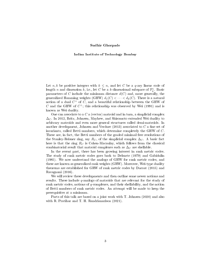#### Sudhir Ghorpade

#### Indian Institute of Technology Bombay

Let  $n, k$  be positive integers with  $k \leq n$ , and let C be a q-ary linear code of length n and dimension  $k$ , i.e., let C be a k-dimensional subspace of  $\mathbb{F}_q^n$ . Basic parameters of C include the minimum distance  $d(C)$  and, more generally, the generalized Hamming weights (GHW)  $d_1(C) < \cdots < d_k(C)$ . There is a natural notion of a dual  $C^{\perp}$  of C, and a beautiful relationship between the GHW of C and the GHW of  $C^{\perp}$ ; this relationship was observed by Wei (1991) and is known as Wei duality.

One can associate to a  $C$  a (vector) matroid and in turn, a simplicial complex  $\Delta_C$ . In 2012, Britz, Johnsen, Mayhew, and Shiromoto extended Wei duality to arbitrary matroids and even more general structures called demi-matroids. In another development, Johnsen and Verdure  $(2013)$  associated to C a fine set of invariants, called Betti numbers, which determine completely the GHW of C. These are, in fact, the Betti numbers of the graded minimal free resolutions of the Stanley-Reisner ring, say  $R_C$ , of the simplicial complex  $\Delta_C$ . A basic fact here is that the ring  $R_C$  is Cohen-Macaulay, which follows from the classical combinatorial result that matroid complexes such as  $\Delta_C$  are shellable.

In the recent past, there has been growing interest in rank metric codes. The study of rank metric codes goes back to Delsarte (1979) and Gabidulin (1985). We now understand the analogs of GHW for rank metric codes, and these are known as generalized rank weights (GRW). Moreover, Wei-type duality theorems are established for GRW of rank metric codes by Ducoat (2015) and Ravagnani (2016).

We will review these developments and then outline some newer notions and results. These include  $q$ -analogs of matroids that are relevant for the study of rank metric codes, notions of q-complexes, and their shellability, and the notion of Betti numbers of rank metric codes. An attempt will be made to keep the prerequisites at a minimum.

Parts of this talk are based on a joint work with T. Johnsen (2020) and also with R. Pratihar and T. H. Randrianarisoa (2021).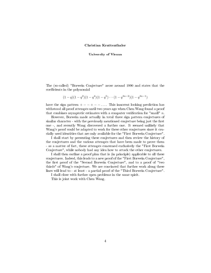#### Christian Krattenthaler

University of Vienna

The (so-called) "Borwein Conjecture" arose around 1990 and states that the coefficients in the polynomial

$$
(1-q)(1-q^2)(1-q^4)(1-q^5)\cdots(1-q^{3n-2})(1-q^{3n-1})
$$

have the sign pattern  $+ - - + - - \dots$ . This innocent looking prediction has withstood all proof attempts until two years ago when Chen Wang found a proof that combines asymptotic estimates with a computer verification for "small"  $n$ .

However, Borwein made actually in total three sign pattern conjectures of similar character - with the previously mentioned conjecture being just the first one -, and recently Wang discovered a further one. It seemed unlikely that Wang's proof could be adapted to work for these other conjectures since it crucially used identities that are only available for the "First Borwein Conjecture".

I shall start by presenting these conjectures and then review the history of the conjectures and the various attempts that have been made to prove them - as a matter of fact, these attempts concerned exclusively the "First Borwein Conjecture", while nobody had any idea how to attack the other conjectures.

I shall then outline a proof plan that is (in principle) applicable to all these conjectures. Indeed, this leads to a new proof of the "First Borwein Conjecture", the first proof of the "Second Borwein Conjecture", and to a proof of "two thirds" of Wang's conjecture. We are convinced that further work along these lines will lead to - at least - a partial proof of the "Third Borwein Conjecture".

I shall close with further open problems in the same spirit.

This is joint work with Chen Wang.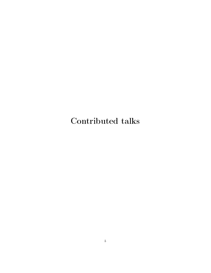Contributed talks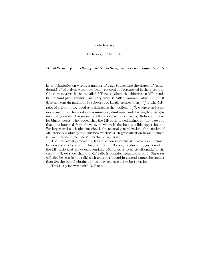## Kristina Ago

#### University of Novi Sad

#### On  $MP$ -ratio for multiary words: well-definedness and upper bounds

In combinatorics on words, a number of ways to measure the degree of "palindromicity" of a given word have been proposed and researched in the literature. One such measure is the so-called MP-ratio (where the abbrevation MP stands for minimal-palindromic). An *n*-ary word is called *minimal-palindromic* if it does not contain palindromic subwords of length greater than  $\lceil \frac{|w|}{n} \rceil$ . The MPratio of a given *n*-ary word *w* is defined as the quotient  $\frac{|rws|}{|w|}$ , where *r* and *s* are words such that the word rws is minimal-palindromic and the length  $|r| + |s|$  is minimal possible. The notion of MP-ratio was introduced by Holub and Saari for binary words, who proved that the MP-ratio is well-defined in that case and that it is bounded from above by 4, which is the best possible upper bound. For larger arities it is obvious what is the natural generalization of the notion of MP-ratio, but already the question whether such generalization is well-defined is much harder in comparison to the binary case.

The main result presented in this talk shows that the MP-ratio is well-defined for *n*-ary words for any *n*. The proof for  $n > 3$  also provides an upper bound on the MP-ratio that grows exponentially with respect to  $n$ . Additionally, in the case  $n = 3$ , we show that the MP-ratio is bounded from above by 6. Since (as will also be seen in the talk) such an upper bound in general cannot be smaller than 2n, the bound obtained in the ternary case is the best possible.

This is a joint work with B. Basic.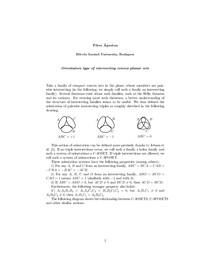# Peter Agoston

#### Eötvös Loránd University, Budapest

#### Orientation type of intersecting convex planar sets

Take a family of compact convex sets in the plane, whose members are pairwise intersecting (in the following, we simply call such a family an intersecting family). Several theorems exist about such families, such as the Helly theorem and its variants. For creating more such theorems, a better understanding of the structure of intersecting families seems to be useful. We thus defined the orientation of pairwise intersecting triples as roughly sketched in the following drawing.



This notion of orientation can be dened more precisely thanks to Jobson et al. [1]. If no triple intersections occur, we call such a family a holey family and such a system of orientations a C-3OSET. If triple intersections are allowed, we call such a system of orientations a C-3POSET.

These orientation systems have the following properties (among others):

1) For any A, B and C from an intersecting family,  $ABC = BCA = CAB =$  $-CBA = -BAC = -ACB$ .

2) For any A, B, C and O from an intersecting family,  $ABO = BCO =$  $CAO = 1$  means  $ABC = 1$  (similarly with  $-1$  and with 0).

3) If  $ABC = ABD = 0$ , but  $ACD \neq 0$  and  $BCD \neq 0$ , then  $ACD = BCD$ . Furthermore, the following stronger property also holds.

3')  $A_1A_2B_1B_2 = A_1A_2C_1C_2 = B_1B_2C_1C_2 = 0$ , but  $A_1B_1C_1 \neq 0$  and  $A_2B_2C_2 \neq 0$ , then  $A_1B_1C_1 = A_2B_2C_2$ .

The following diagram shows the relationship between C-3OSETS, C-3POSETS and other similar notions.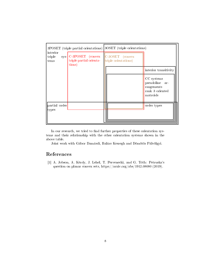| 3POSET (triple partial orientations) 3OSET (triple orientations) |                                                                                                             |  |                                                                           |
|------------------------------------------------------------------|-------------------------------------------------------------------------------------------------------------|--|---------------------------------------------------------------------------|
| interior<br>triple<br>tems                                       | $_{\rm sys}$ C-3POSET (convex $ $ C-3OSET (convex<br>triple partial orienta- triple orientations)<br>tions) |  |                                                                           |
|                                                                  |                                                                                                             |  | interior transitivity                                                     |
|                                                                  |                                                                                                             |  | CC systems<br>pseudoline ar-<br>rangements<br>rank 3 oriented<br>matroids |
| partial order<br>types                                           |                                                                                                             |  | order types                                                               |
|                                                                  |                                                                                                             |  |                                                                           |

In our research, we tried to find further properties of these orientation systems and their relationship with the other orientation systems shown in the above table.

Joint work with Gábor Damásdi, Balázs Keszegh and Dömötör Pálvölgyi.

# References

[1] A. Jobson, A. Kezdy, J. Lehel, T. Pervenecki, and G. Toth: Petruska's question on planar convex sets, https://arxiv.org/abs/1912.08080 (2019).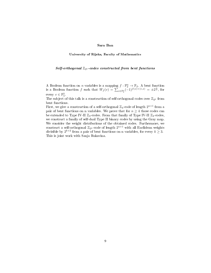#### Sara Ban

University of Rijeka, Faculty of Mathematics

# $Self-orthogonal$   $\mathbb{Z}_{2^k}$ -codes constructed from bent functions

A Boolean function on *n* variables is a mapping  $f : \mathbb{F}_2^n \to \mathbb{F}_2$ . A bent function is a Boolean function f such that  $W_f(v) = \sum_{x \in \mathbb{F}_2^n} (-1)^{f(x)+\langle v,x \rangle} = \pm 2^{\frac{n}{2}}$ , for every  $v \in \mathbb{F}_n^2$ .

The subject of this talk is a construction of self-orthogonal codes over  $\mathbb{Z}_{2^k}$  from bent functions.

First, we give a construction of a self-orthogonal  $\mathbb{Z}_4$ -code of length  $2^{n+1}$  from a pair of bent functions on n variables. We prove that for  $n \geq 4$  those codes can be extended to Type IV-II  $\mathbb{Z}_4$ -codes. From that family of Type IV-II  $\mathbb{Z}_4$ -codes, we construct a family of self-dual Type II binary codes by using the Gray map. We consider the weight distributions of the obtained codes. Furthermore, we construct a self-orthogonal  $\mathbb{Z}_{2^k}$ -code of length  $2^{n+1}$  with all Euclidean weights divisible by  $2^{k+2}$  from a pair of bent functions on n variables, for every  $k \geq 3$ . This is joint work with Sanja Rukavina.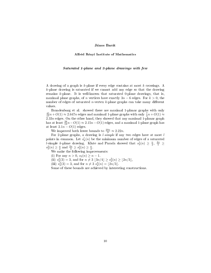#### János Barát

#### Alfréd Rényi Institute of Mathematics

#### Saturated 1-plane and 2-plane drawings with few

A drawing of a graph is k-plane if every edge contains at most k crossings. A k-plane drawing is saturated if we cannot add any edge so that the drawing remains k-plane. It is well-known that saturated 0-plane drawings, that is, maximal plane graphs, of n vertices have exactly  $3n - 6$  edges. For  $k > 0$ , the number of edges of saturated *n*-vertex  $k$ -plane graphs can take many different values.

Brandenburg et al. showed there are maximal 1-planar graphs with only  $\frac{45}{17}n + O(1) \approx 2.647n$  edges and maximal 1-plane graphs with only  $\frac{7}{3}n + O(1) \approx$  $2.33n$  edges. On the other hand, they showed that any maximal 1-planar graph has at least  $\frac{28}{13}n-O(1) \approx 2.15n-O(1)$  edges, and a maximal 1-plane graph has at least  $2.1n - O(1)$  edges.

We improved both lower bounds to  $\frac{20n}{9} \approx 2.22n$ .

For 2-plane graphs, a drawing is  $l$ -simple if any two edges have at most  $l$ points in common. Let  $s_k^l(n)$  be the minimum number of edges of a saturated l-simple k-plane drawing. Klute and Parada showed that  $s_2^1(n) \geq \frac{n}{2}$ ,  $\frac{4n}{5} \geq$  $s_2^2(n) \geq \frac{n}{2}$  and  $\frac{2n}{3} \geq s_2^3(n) \geq \frac{n}{2}$ .

We make the following improvements:

(i) For any  $n > 0$ ,  $s_2(n) \geq n - 1$ .

(ii)  $s_2^2(3) = 3$ , and for  $n \neq 3 \lfloor 3n/4 \rfloor \ge s_2^2(n) \ge \lfloor 2n/3 \rfloor$ ,

(iii)  $s_2^3(3) = 3$ , and for  $n \neq 3$   $s_2^3(n) = \lfloor 2n/3 \rfloor$ .

Some of these bounds are achieved by interesting constructions.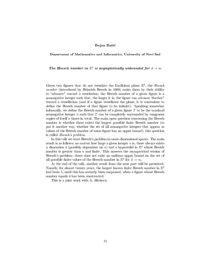#### Bojan Basic

Department of Mathematics and Informatics, University of Novi Sad

The Heesch number in  $\mathbb{E}^d$  is asymptotically unbounded for  $d \to \infty$ 

Given two figures that do not tesselate the Euclidean plane  $\mathbb{E}^2$ , the Heesch number (introduced by Heinrich Heesch in 1968) ranks them by their ability to "advance" toward a tesselation; the Heesch number of a given figure is a nonnegative integer such that, the larger it is, the figure can advance "further" toward a tessellation (and if a figure tessellates the plane, it is convenient to define the Heesch number of that figure to be infinite). Speaking somewhat informally, we define the Heesch number of a given figure  $T$  to be the maximal nonnegative integer  $n$  such that  $T$  can be completely surrounded by congruent copies of itself  $n$  times in total. The main open question concerning the Heesch number is whether there exists the largest possible finite Heesch number (to put it another way, whether the set of all nonnegative integers that appear as values of the Heesch number of some figure has an upper bound); this question is called Heesch's problem.

In this talk we treat Heesch's problem in more-dimensional spaces. The main result is as follows: no matter how large a given integer  $n$  is, there always exists a dimension d (possibly dependent on n) and a hypersolid in  $\mathbb{E}^d$  whose Heesch number is greater than  $n$  and finite. This answers the asymptotical version of Heesch's problem: there does not exist an uniform upper bound on the set of all possible finite values of the Heesch number in  $\mathbb{E}^d$  for  $d \to \infty$ .

At the end of the talk, another result from the near past will be presented. Namely, for almost twenty years, the largest known finite Heesch number in  $\mathbb{E}^2$ had been 5, until this has recently been surpassed, when a figure whose Heesch number equals 6 has been constructed.

This is a joint work with A. Slivkova.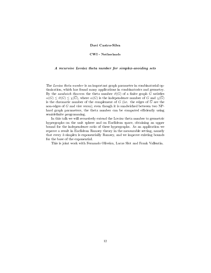# Davi Castro-Silva

#### CWI - Netherlands

#### A recursive Lovasz theta number for simplex-avoiding sets

The Lovász theta number is an important graph parameter in combinatorial optimization, which has found many applications in combinatorics and geometry. By the sandwich theorem the theta number  $\vartheta(G)$  of a finite graph G satisfies  $\alpha(G) \leq \vartheta(G) \leq \chi(\overline{G})$ , where  $\alpha(G)$  is the independence number of G and  $\chi(\overline{G})$ is the chromatic number of the complement of G (i.e. the edges of  $\overline{G}$  are the non-edges of G and vice versa); even though it is sandwiched between two NPhard graph parameters, the theta number can be computed efficiently using semidefinite programming.

In this talk we will recursively extend the Lovász theta number to geometric hypergraphs on the unit sphere and on Euclidean space, obtaining an upper bound for the independence ratio of these hypergraphs. As an application we reprove a result in Euclidean Ramsey theory in the measurable setting, namely that every  $k$ -simplex is exponentially Ramsey, and we improve existing bounds for the base of the exponential.

This is joint work with Fernando Oliveira, Lucas Slot and Frank Vallentin.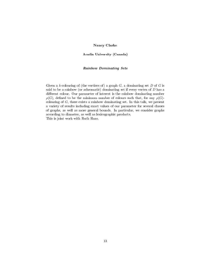# Nancy Clarke

Acadia University (Canada)

# Rainbow Dominating Sets

Given a k-colouring of (the vertices of) a graph  $G$ , a dominating set  $D$  of  $G$  is said to be a rainbow (or achromatic) dominating set if every vertex of  $D$  has a different colour. Our parameter of interest is the rainbow dominating number  $\rho(G)$ , defined to be the minimum number of colours such that, for any  $\rho(G)$ colouring of G, there exists a rainbow dominating set. In this talk, we present a variety of results including exact values of our parameter for several classes of graphs, as well as more general bounds. In particular, we consider graphs according to diameter, as well as lexicographic products. This is joint work with Ruth Haas.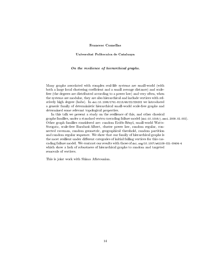# Francesc Comellas

Universitat Politecnica de Catalunya

#### On the resilience of hierarchical graphs.

Many graphs associated with complex real-life systems are small-world (with both a large local clustering coefficient and a small average distance) and scalefree (the degrees are distributed according to a power law) and very often, when the systems are modular, they are also hierarchical and include vertices with relatively high degree (hubs). In doi:10.1088/1751-8113/49/22/225202 we introduced a generic family of deterministic hierarchical small-world scale-free graphs and determined some relevant topological properties.

In this talk we present a study on the resilience of this, and other classical graphs families, under a standard vertex cascading failure model (doi:10.1016/j.ssci.2009.02.002). Other graph families considered are: random Erdős-Rényi, small-world Watts-Strogatz, scale-free Barabasi-Albert, cluster power law, random regular, connected caveman, random geometric, geographical threshold, random partition and random regular sequence. We show that our family of hierarchical graphs is the most resilient under different categories of initial failing vertices for this cascading failure model. We contrast our results with those of doi.org/10.1007/s41109-021-00404-4 which show a lack of robustness of hierarchical graphs to random and targeted removals of vertices.

This is joint work with Shima Aflatounian.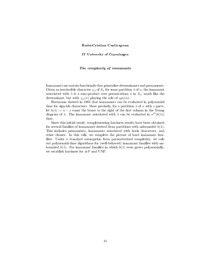#### Radu-Cristian Curticapean

IT University of Copenhagen

#### The complexity of immanants

Immanants are matrix functionals that generalize determinants and permanents. Given an irreducible character  $\chi_{\lambda}$  of  $S_n$  for some partition  $\lambda$  of n, the immanant associated with  $\lambda$  is a sum-product over permutations  $\pi$  in  $S_n$ , much like the determinant, but with  $\chi_{\lambda}(\pi)$  playing the role of  $sgn(n)$ .

Hartmann showed in 1985 that immanants can be evaluated in polynomial time for sign-ish characters. More precisely, for a partition  $\lambda$  of n with s parts, let  $b(\lambda) := n - s$  count the boxes to the right of the first column in the Young diagram of  $\lambda$ . The immanant associated with  $\lambda$  can be evaluated in  $n^O(b(\lambda))$ time.

Since this initial result, complementing hardness results have been obtained for several families of immanants derived from partitions with unbounded  $b(\lambda)$ . This includes permanents, immanants associated with hook characters, and other classes. In this talk, we complete the picture of hard immanant families: Under a standard assumption from parameterized complexity, we rule out polynomial-time algorithms for (well-behaved) immanant families with unbounded  $b(\lambda)$ . For immanant families in which  $b(\lambda)$  even grows polynomially, we establish hardness for  $\#P$  and VNP.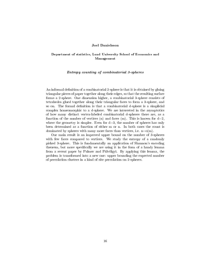#### Joel Danielsson

## Department of statistics, Lund University School of Economics and Management

#### Entropy counting of combinatorial 3-spheres

An informal definition of a combinatorial 2-sphere is that it is obtained by gluing triangular pieces of paper together along their edges, so that the resulting surface forms a 2-sphere. One dimension higher, a combinatorial 3-sphere consists of tetrahedra glued together along their triangular faces to form a 3-sphere, and so on. The formal definition is that a combinatorial d-sphere is a simplicial complex homeomorphic to a d-sphere. We are interested in the asymptotics of how many distinct vertex-labeled combinatorial d-spheres there are, as a function of the number of vertices (n) and faces (m). This is known for  $d=2$ , where the geometry is simpler. Even for  $d=3$ , the number of spheres has only been determined as a function of either m or n. In both cases the count is dominated by spheres with many more faces than vertices, i.e.  $n=0(m)$ .

Our main result is an improved upper bound on the number of 3-spheres with few faces compared to vertices. We study the entropy of a randomly picked 3-sphere. This is fundamentally an application of Shannon's encoding theorem, but more specifically we are using it in the form of a handy lemma from a recent paper by Palmer and Pálvölgyi. By applying this lemma, the problem is transformed into a new one: upper bounding the expected number of percolation clusters in a kind of site percolation on 2-spheres.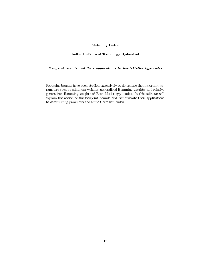# Mrinmoy Datta

#### Indian Institute of Technology Hyderabad

# Footprint bounds and their applications to Reed-Muller type codes

Footprint bounds have been studied extensively to determine the important parameters such as minimum weights, generalized Hamming weights, and relative generalized Hamming weights of Reed-Muller type codes. In this talk, we will explain the notion of the footprint bounds and demonstrate their applications to determining parameters of affine Cartesian codes.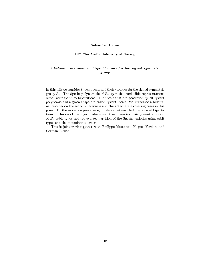#### Sebastian Debus

#### UiT The Arctic University of Norway

# A bidominance order and Specht ideals for the signed symmetric group

In this talk we consider Specht ideals and their varieties for the signed symmetric group  $B_n$ . The Specht polynomials of  $B_n$  span the irreducible representations which correspond to bipartitions. The ideals that are generated by all Specht polynomials of a given shape are called Specht ideals. We introduce a bidominance order on the set of bipartitions and characterize the covering cases in this poset. Furthermore, we prove an equivalence between bidominance of bipartitions, inclusion of the Specht ideals and their varieties. We present a notion of  $B_n$  orbit types and prove a set partition of the Specht varieties using orbit types and the bidominance order.

This is joint work together with Philippe Moustrou, Hugues Verdure and Cordian Riener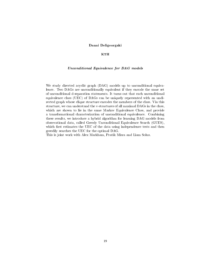# Danai Deligeorgaki

#### KTH

## Unconditional Equivalence for DAG models

We study directed acyclic graph (DAG) models up to unconditional equivalence. Two DAGs are unconditionally equivalent if they encode the same set of unconditional d-separation statements. It turns out that each unconditional equivalence class (UEC) of DAGs can be uniquely represented with an undirected graph whose clique structure encodes the members of the class. Via this structure, we can understand the v-structures of all maximal DAGs in the class, which are shown to lie in the same Markov Equivalence Class, and provide a transformational characterization of unconditional equivalence. Combining these results, we introduce a hybrid algorithm for learning DAG models from observational data, called Greedy Unconditional Equivalence Search (GUES), which first estimates the UEC of the data using independence tests and then greedily searches the UEC for the optimal DAG.

This is joint work with Alex Markham, Pratik Misra and Liam Solus.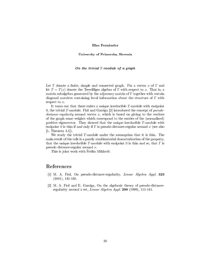#### Blas Fernández

University of Primorska, Slovenia

#### On the trivial  $T$ -module of a graph

Let  $\Gamma$  denote a finite, simple and connected graph. Fix a vertex x of  $\Gamma$  and let  $T = T(x)$  denote the Terwilliger algebra of Γ with respect to x. That is, a matrix subalgebra generated by the adjacency matrix of  $\Gamma$  together with certain diagonal matrices containing local information about the structure of Γ with respect to x.

It turns out that there exists a unique irreducible T-module with endpoint 0, the trivial T-module. Fiol and Garriga [2] introduced the concept of pseudodistance-regularity around vertex  $x$ , which is based on giving to the vertices of the graph some weights which correspond to the entries of the (normalized) positive eigenvector. They showed that the unique irreducible T-module with endpoint 0 is thin if and only if  $\Gamma$  is pseudo-distance-regular around x (see also [1, Theorem 3.1]).

We study the trivial T-module under the assumption that it is thin. The main result of the talk is a purely combinatorial characterization of the property, that the unique irreducible T-module with endpoint 0 is thin and so, that  $\Gamma$  is pseudo distance-regular around x.

This is joint work with Stefko Miklavic.

# References

- [1] M. A. Fiol, On pseudo-distance-regularity, Linear Algebra Appl. 323 (2001), 145-165.
- [2] M. A. Fiol and E. Garriga, On the algebraic theory of pseudo-distanceregularity around a set, Linear Algebra Appl. 298 (1999), 115-141.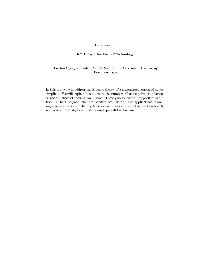# Luis Ferroni

#### KTH Royal Institute of Technology

# Ehrhart polynomials, flag Eulerian numbers and algebras of Veronese type

In this talk we will address the Ehrhart theory of a generalized version of hypersimplices. We will explain how to count the number of lattice points in dilations of certain slices of rectangular prisms. These polytopes are polypositroids and their Ehrhart polynomials have positive coefficients. Two applications regarding a generalization of the flag Eulerian numbers and an interpretation for the numerator of all algebras of Veronese type will be discussed.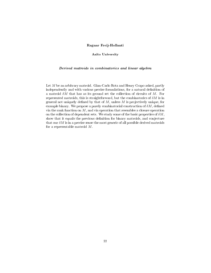# Ragnar Freij-Hollanti

#### Aalto University

## Derived matroids in combinatorics and linear algebra

Let M be an arbitrary matroid. Gian-Carlo Rota and Henry Crapo asked, partly independently and with various precise formulations, for a natural definition of a matroid  $\delta M$  that has as its ground set the collection of circuits of M. For represented matroids, this is straightforward, but the combinatorics of  $\delta M$  is in general not uniquely defined by that of  $M$ , unless  $M$  is projectively unique, for example binary. We propose a purely combinatorial construction of  $\delta M$ , defined via the rank function on  $M$ , and via operation that resembles a closure operation on the collection of dependent sets. We study some of the basic properties of  $\delta M$ , show that it equals the previous definition for binary matroids, and conjecture that our  $\delta M$  is in a precise sense the most generic of all possible derived matroids for a representable matroid M.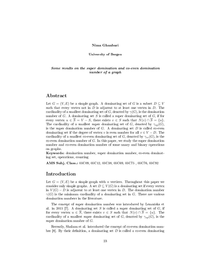#### Nima Ghanbari

#### University of Bergen

# Some results on the super domination and co-even domination number of a graph

# Abstract

Let  $G = (V, E)$  be a simple graph. A dominating set of G is a subset  $D \subseteq V$ such that every vertex not in  $D$  is adjacent to at least one vertex in  $D$ . The cardinality of a smallest dominating set of G, denoted by  $\gamma(G)$ , is the domination number of  $G$ . A dominating set  $S$  is called a super dominating set of  $G$ , if for every vertex  $u \in \overline{S} = V - S$ , there exists  $v \in S$  such that  $N(v) \cap \overline{S} = \{u\}.$ The cardinality of a smallest super dominating set of G, denoted by  $\gamma_{sp}(G)$ , is the super domination number of  $G$ . A dominating set  $D$  is called co-even dominating set if the degree of vertex v is even number for all  $v \in V - D$ . The cardinality of a smallest co-even dominating set of G, denoted by  $\gamma_{ce}(G)$ , is the co-even domination number of  $G$ . In this paper, we study the super domination number and co-even domination number of some unary and binary operations on graphs.

Keywords: domination number, super domination number, co-even dominating set, operations, counting

AMS Subj. Class.: 05C09, 05C12, 05C38, 05C69, 05C75 , 05C76, 05C92

# Introduction

Let  $G = (V, E)$  be a simple graph with n vertices. Throughout this paper we consider only simple graphs. A set  $D \subseteq V(G)$  is a dominating set if every vertex in  $V(G) - D$  is adjacent to at least one vertex in D. The domination number  $\gamma(G)$  is the minimum cardinality of a dominating set in G. There are various domination numbers in the literature.

The concept of super domination number was introduced by Lemanska et al. in 2015 [7]. A dominating set S is called a super dominating set of  $G$ , if for every vertex  $u \in \overline{S}$ , there exists  $v \in S$  such that  $N(v) \cap \overline{S} = \{u\}$ . The cardinality of a smallest super dominating set of G, denoted by  $\gamma_{sp}(G)$ , is the super domination number of G.

Recently, Shalaan et al. introduced the concept of co-even domination number [8]. By their definition, a dominating set  $D$  is called a co-even dominating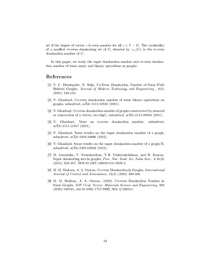set if the degree of vertex v is even number for all  $v \in V - D$ . The cardinality of a smallest co-even dominating set of G, denoted by  $\gamma_{ce}(G)$ , is the co-even domination number of G.

In this paper, we study the super domination number and co-even domination number of some unary and binary operations on graphs.

# References

- [1] N. C. Demirpolat, E. Kılıç, Co-Even Domination Number of Some Path Related Graphs, Journal of Modern Technology and Engineering , 6(2) (2021) 143-150.
- [2] N. Ghanbari, Co-even domination number of some binary operations on graphs, submitted, arXiv:2111.01845 (2021).
- [3] N. Ghanbari, Co-even domination number of graphs constructed by removal or contraction of a vertex (an edge), submitted, arXiv:2111.08504 (2021).
- [4] N. Ghanbari, More on co-even domination number, submitted, arXiv:2111.11817 (2021).
- [5] N. Ghanbari, Some results on the super domination number of a graph, submitted, arXiv:2204.10666 (2022).
- [6] N. Ghanbari, Some results on the super domination number of a graph II, submitted, arXiv:2205.02634 (2022).
- [7] M. Lemanska, V. Swaminathan, Y.B. Venkatakrishnan, and R. Zuazua, Super dominating sets in graphs, Proc. Nat. Acad. Sci. India Sect., A 85(3) (2015) 353357. DOI:10.1007/s40010-015-0208-2.
- [8] M. M. Shalaan, A. A. Omran, Co-even Domination in Graphs, International Journal of Control and Automation, 13(3) (2020) 330-334.
- [9] M. M. Shalaan, A. A. Omran, (2020). Co-even Domination Number in Some Graphs. IOP Conf. Series: Materials Science and Engineering, 928 (2020) 042015, doi:10.1088/1757-899X/928/4/042015.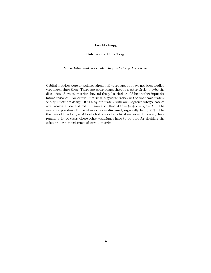# Harald Gropp

#### Universitaet Heidelberg

#### On orbital matrices, also beyond the polar circle

Orbital matrices were introduced already 35 years ago, but have not been studied very much since then. There are polar bears, there is a polar circle, maybe the discussion of orbital matrices beyond the polar circle could be another input for future research. An orbital matrix is a generalization of the incidence matrix of a symmetric 2-design. It is a square matrix with non-negative integer entries with constant row and column sum such that  $AA^t = (k + x - \lambda)I + \lambda J$ . The existence problem of orbital matrices is discussed, especially for  $\lambda \leq 3$ . The theorem of Bruck-Ryser-Chowla holds also for orbital matrices. However, there remain a lot of cases where other techniques have to be used for deciding the existence or non-existence of such a matrix.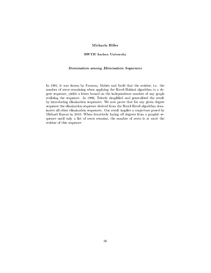# Michaela Hiller

#### RWTH Aachen University

## Domination among Elimination Sequences

In 1991, it was shown by Favaron, Maheo and Sacle that the residue, i.e. the number of zeros remaining when applying the Havel-Hakimi algorithm to a degree sequence, yields a lower bound on the independence number of any graph realising the sequence. In 1996, Triesch simplified and generalised the result by introducing elimination sequences. We now prove that for any given degree sequence the elimination sequence derived from the Havel-Havel algorithm dominates all other elimination sequences. Our result implies a conjecture posed by Michael Barrus in 2010: When iteratively laying off degrees from a graphic sequence until only a list of zeros remains, the number of zeros is at most the residue of this sequence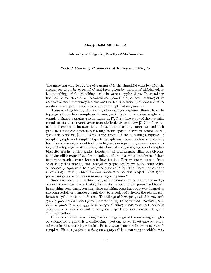#### Marija Jelic Milutinovic

#### University of Belgrade, Faculty of Mathematics

#### Perfect Matching Complexes of Honeycomb Graphs

The matching complex  $M(G)$  of a graph G is the simplicial complex with the ground set given by edges of  $G$  and faces given by subsets of disjoint edges, i.e., matchings of G. Matchings arise in various applications. In chemistry, the Kekule structure of an aromatic compound is a perfect matching of its carbon skeleton. Matchings are also used for transportation problems and other combinatorial optimization problems to find optimal assignments.

There is a long history of the study of matching complexes. Research on the topology of matching complexes focuses particularly on complete graphs and complete bipartite graphs; see for example, [?, ?, ?]. The study of the matching complexes for these graphs arose from algebraic group theory [?, ?] and proved to be interesting in its own right. Also, these matching complexes and their joins are suitable candidates for configuration spaces in various combinatorial geometric problems [?, ?]. While some aspects of the matching complexes of complete graphs and complete bipartite graphs are known, such as connectivity bounds and the existence of torsion in higher homology groups, our understanding of the topology is still incomplete. Beyond complete graphs and complete bipartite graphs, cycles, paths, forests, small grid graphs, tiling of polygons, and caterpillar graphs have been studied and the matching complexes of these families of graphs are not known to have torsion. Further, matching complexes of cycles, paths, forests, and caterpillar graphs are known to be contractible or homotopy equivalent to a wedge of spheres [?, ?]. The literature points to a recurring question, which is a main motivation for this project: what graph properties give rise to torsion in matching complexes?

Since we know that matching complexes of forests are contractible or wedges of spheres, one may reason that cycles must contribute to the presence of torsion in matching complexes. Further, since matching complexes of cycles themselves are contractible or homotopy equivalent to a wedge of spheres, the relationship between cycles must be a factor. The tilings of hexagons, called honeycomb graphs, provide a sufficiently complicated family to be studied. Precisely, honeycomb graph  $H = H_{k \times m \times n}$  is a hexagonal tiling whose congruent, opposite sides are of length k, m and n hexagons respectively (see honeycomb graph  $2 \times 2 \times 2$  bellow).

It turns out that determining the homotopy type of the matching complex of a honeycomb graph is a challenging question, so we investigate a natural subcomplex of a matching complex. Precisely, we define the following new graph complex. First, a *perfect matching* on a graph  $G$  is a matching in which every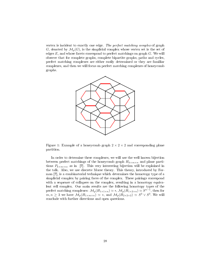vertex is incident to exactly one edge. The perfect matching complex of graph G, denoted by  $\mathcal{M}_p(G)$ , is the simplicial complex whose vertex set is the set of edges  $E$ , and whose facets correspond to perfect matchings on graph  $G$ . We will observe that for complete graphs, complete bipartite graphs, paths and cycles, perfect matching complexes are either easily determined or they are familiar complexes, and then we will focus on perfect matching complexes of honeycomb graphs.



Figure 1: Example of a honeycomb graph  $2 \times 2 \times 2$  and corresponding plane partition.

In order to determine these complexes, we will use the well known bijection between perfect matchings of the honeycomb graph  $H_{k\times m\times n}$  and plane partitions  $P_{k\times m\times n}$ , as in [?]. This very interesting bijection will be explained in the talk. Also, we use discrete Morse theory. This theory, introduced by Forman [?], is a combinatorial technique which determines the homotopy type of a simplicial complex by pairing faces of the complex. These pairings correspond with a sequence of collapses on the complex, resulting in a homotopy equivalent cell complex. Our main results are the following homotopy types of the perfect matching complexes:  $\mathcal{M}_p(H_{1\times1\times n}) \simeq *, \mathcal{M}_p(H_{1\times2\times n}) \simeq S^{n-1}$ , then for  $m, n \geq 3$  we have  $\mathcal{M}_p(H_{1 \times m \times n}) \simeq *$ , and  $\mathcal{M}_p(H_{2 \times 2 \times 2}) \simeq S^3 \vee S^3$ . We will conclude with further directions and open questions.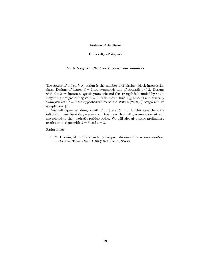# Vedran Krčadinac

#### University of Zagreb

## On t-designs with three intersection numbers

The *degree* of a  $t-(v, k, \lambda)$  design is the number d of distinct block intersection sizes. Designs of degree  $d = 1$  are symmetric and of strength  $t \leq 2$ . Designs with  $d = 2$  are known as quasi-symmetric and the strength is bounded by  $t \leq 4$ . Regarding designs of degree  $d = 3$ , it is known that  $t \leq 5$  holds and the only examples with  $t = 5$  are hypothesised to be the Witt 5-(24, 8, 1) design and its complement [1].

We will report on designs with  $d = 3$  and  $t = 4$ . In this case there are infinitely many feasible parameters. Designs with small parameters exist and are related to the quadratic residue codes. We will also give some preliminary results on designs with  $d = 3$  and  $t = 3$ .

#### References

1. Y. J. Ionin, M. S. Shrikhande, 5-designs with three intersection numbers, J. Combin. Theory Ser. A 69 (1995), no. 1, 36-50.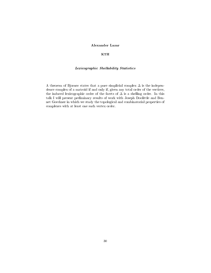# Alexander Lazar

#### KTH

# Lexicographic Shellability Statistics

A theorem of Bjorner states that a pure simplicial complex ∆ is the independence complex of a matroid if and only if, given any total order of the vertices, the induced lexicographic order of the facets of ∆ is a shelling order. In this talk I will present preliminary results of work with Joseph Doolittle and Bennet Goeckner in which we study the topological and combinatorial properties of complexes with at least one such vertex order.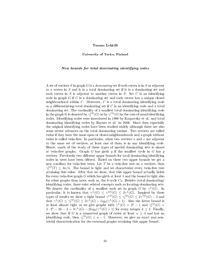#### Tuomo Lehtila

#### University of Turku, Finland

#### New bounds for total dominating identifying codes

A set of vertices  $S$  in graph  $G$  is a *dominating* set if each vertex is in  $S$  or adjacent to a vertex in S and it is a total dominating set if it is a dominating set and each vertex in S is adjacent to another vertex in S. Set C is an identifying code in graph  $G$  if  $C$  is a dominating set and each vertex has a unique closed neighbourhood within C. Moreover, C is a total dominating identifying code or a differentiating-total dominating set if  $C$  is an identifying code and a total dominating set. The cardinality of a smallest total dominating identifying code in the graph G is denoted by  $\gamma^{ID}_t(G)$  or by  $\gamma^{ID}(G)$  in the case of usual identifying codes. Identifying codes were introduced in 1998 by Karpovsky et al. and total dominating identifying codes by Haynes et al. in 2006. Since then especially the original identifying codes have been studied widely although there are also some recent advances on the total dominating variant. Two vertices are called twins if they have the same open or closed neighbourhoods and a graph without twins is called twin-free. In particular, when two vertices  $u$  and  $v$  are adjacent to the same set of vertices, at least one of them is in any identifying code. Hence, much of the study of these types of special dominating sets is aimed at twin-free graphs. Graph  $G$  has girth  $g$  if the smallest cycle in  $G$  has  $g$ vertices. Previously two different upper bounds for total dominating identifying codes in trees have been offered. Based on these two upper bounds we get a new corollary for twin-free trees: Let  $T$  be a twin-free tree on  $n$  vertices, then  $\gamma_t^{ID}(T) \leq 3n/4$ . The bound is tight and we characterize every twin-free tree attaining this value. After that we show, that this upper bound actually holds for every twin-free graph  $G$  which has girth at least 5 and the bound is tight also for other graphs than trees, such as, the 8-cycle  $C_8$ . Besides (total dominating) identifying codes, there exist related concepts such as locating-dominating sets. We denote the cardinality of a smallest such set in graph G by  $\gamma^L(G)$ . In particular, it is known that  $\gamma^L(G) \leq \gamma^{ID}(G) \leq 2\gamma^L(G)$ . Inspired by these types of results we show a tight bound  $\gamma^{ID}(G) \leq \gamma^{ID}_t(G) \leq 2\gamma^{ID}(G) - 2$  and that  $\gamma^L(G) \leq \gamma^L(G) \leq 3\gamma^L(G) - log_2(\gamma^L(G) + 1)$ . Also the latter bound is at least almost tight as we give graphs with  $\gamma^L(G) = 2^k - 1$  and  $\gamma_t^{ID}(G) =$  $3 \cdot 2^k - 2k - 3 = 3\gamma^L(G) - 2log_2(\gamma^L(G) + 1)$  for every integer  $k \geq 2$ . Finally, we show that if G is a connected graph of order at least  $n \geq 4$  and has an identifying code, then  $\gamma_t^{ID}(G) \leq n-1$ . Moreover, we give an exact and nontrivial characterization for the extremal graphs attaining this upper bound.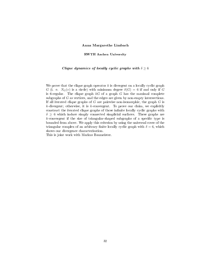#### Anna Margarethe Limbach

#### RWTH Aachen University

## Clique dynamics of locally cyclic graphs with  $\delta \geq 6$

We prove that the clique graph operator  $k$  is divergent on a locally cyclic graph G (i. e.  $N_G(v)$  is a circle) with minimum degree  $\delta(G) = 6$  if and only if G is 6-regular. The clique graph  $kG$  of a graph G has the maximal complete subgraphs of G as vertices, and the edges are given by non-empty intersections. If all iterated clique graphs of  $G$  are pairwise non-isomorphic, the graph  $G$  is  $k$ -divergent; otherwise, it is  $k$ -convergent. To prove our claim, we explicitly construct the iterated clique graphs of those infinite locally cyclic graphs with  $\delta \geq 6$  which induce simply connected simplicial surfaces. These graphs are  $k$ -convergent if the size of triangular-shaped subgraphs of a specific type is bounded from above. We apply this criterion by using the universal cover of the triangular complex of an arbitrary finite locally cyclic graph with  $\delta = 6$ , which shows our divergence characterisation.

This is joint work with Markus Baumeister.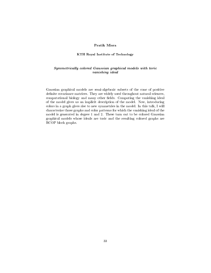# Pratik Misra

#### KTH Royal Institute of Technology

# Symmetrically colored Gaussian graphical models with toric vanishing ideal

Gaussian graphical models are semi-algebraic subsets of the cone of positive definite covariance matrices. They are widely used throughout natural sciences, computational biology and many other fields. Computing the vanishing ideal of the model gives us an implicit description of the model. Now, introducing colors in a graph gives rise to new symmetries in the model. In this talk, I will characterize those graphs and color patterns for which the vanishing ideal of the model is generated in degree 1 and 2. These turn out to be colored Gaussian graphical models whose ideals are toric and the resulting colored graphs are RCOP block graphs.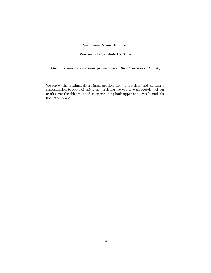# Guillermo Nunez Ponasso

#### Worcester Polytechnic Institute

# The maximal determinant problem over the third roots of unity

We survey the maximal determinant problem for +-1 matrices, and consider a generalisation to roots of unity. In particular we will give an overview of our results over the third roots of unity, including both upper and lower bounds for the determinant.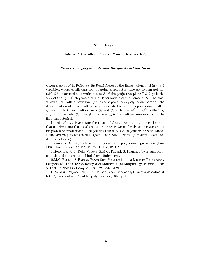#### Silvia Pagani

#### Universita Cattolica del Sacro Cuore, Brescia - Italy

#### Power sum polynomials and the ghosts behind them

Given a point P in  $PG(n, q)$ , its Rédei factor is the linear polynomial in  $n + 1$ variables, whose coefficients are the point coordinates. The power sum polynomial  $G<sup>S</sup>$  associated to a multi-subset S of the projective plane PG(2,q) is the sum of the  $(q-1)$ -th powers of the Rédei factors of the points of S. The classification of multi-subsets having the same power sum polynomial bases on the determination of those multi-subsets associated to the zero polynomial, called ghosts. In fact, two multi-subsets  $S_1$  and  $S_2$  such that  $G^{S_1} = G^{S_2}$  "differ" by a ghost Z, namely,  $S_2 = S_1 \uplus_p Z$ , where  $\uplus_p$  is the multiset sum modulo p (the field characteristic).

In this talk we investigate the space of ghosts, compute its dimension and characterize some classes of ghosts. Moreover, we explicitly enumerate ghosts for planes of small order. The present talk is based on joint work with Marco Della Vedova (Universita di Bergamo) and Silvia Pianta (Universita Cattolica del Sacro Cuore).

Keywords: Ghost; multiset sum; power sum polynomial; projective plane MSC classification: 51E15, 51E22, 11T06, 05B25

References: M.L. Della Vedova, S.M.C. Pagani, S. Pianta. Power sum polynomials and the ghosts behind them. Submitted.

S.M.C. Pagani, S. Pianta. Power Sum Polynomials in a Discrete Tomography Perspective. Discrete Geometry and Mathematical Morphology, volume 12708 of Lecture Notes in Comput. Sci.: 325-337, 2021.

P. Sziklai. Polynomials in Finite Geometry. Manuscript. Available online at http://web.cs.elte.hu/ sziklai/polynom/poly08feb.pdf.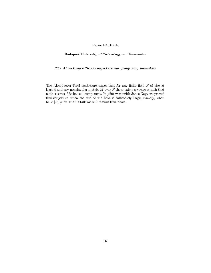# Péter Pál Pach

#### Budapest University of Technology and Economics

# The Alon-Jaeger-Tarsi conjecture via group ring identities

The Alon-Jaeger-Tarsi conjecture states that for any finite field  $F$  of size at least 4 and any nonsingular matrix  $M$  over  $F$  there exists a vector  $x$  such that neither  $x$  nor  $Mx$  has a 0 component. In joint work with János Nagy we proved this conjecture when the size of the field is sufficiently large, namely, when  $61 < |F| \neq 79$ . In this talk we will discuss this result.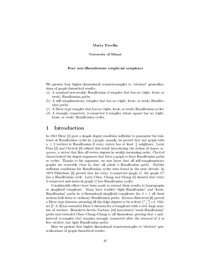#### Marta Pavelka

#### University of Miami

#### Four non-Hamiltonian simplicial complexes

We present four higher-dimensional counterexamples to "obvious" generalizations of graph-theoretical results:

- (a) A maximal non-weakly-Hamiltonian d-complex that has no (tight, loose, or weak) Hamiltonian paths.
- (b) A self-complementary complex that has no (tight, loose, or weak) Hamiltonian paths.
- (c) A Dirac-type complex that has no (tight, loose, or weak) Hamiltonian cycles.
- (d) A strongly connected, 2-connected 2-complex whose square has no (tight, loose, or weak) Hamiltonian cycles.

# 1 Introduction

In 1952 Dirac  $[1]$  gave a simple degree condition sufficient to guarantee the existence of Hamiltonian cycles in a graph: namely, he proved that any graph with  $n \geq 3$  vertices is Hamiltonian if every vertex has at least  $\frac{n}{2}$  neighbors. Later Pósa  $[2]$  and Chvátal  $[3]$  refined this result introducing the notion of *degree se*quence, a vector that lists all vertex degrees in weakly-increasing order. Chvatal characterized the degree sequences that force a graph to have Hamiltonian paths or cycles. Thanks to his argument, we now know that all self-complementary graphs are traceable (that is, they all admit a Hamiltonian path). Further sufficient conditions for Hamiltonian cycles were found in the next decade: In 1974 Fleischner [4] proved that for every 2-connected graph  $G$ , the graph  $G^2$ has a Hamiltonian cycle. Later Chen, Chang and Chang [5] showed that every 2-connected unit-interval graph G has Hamiltonian cycles.

Considerable efforts have been made to extend these results to hypergraphs or simplicial complexes. Many have studied "tight-Hamiltonian" and "loose-Hamiltonian" paths in d-dimensional simplicial complexes; for  $d = 1$  all these notions boil down to ordinary Hamiltonian paths. Katona-Kierstead [6] proved a Dirac-type theorem assuming all the ridge degrees to be at least  $\binom{n-3}{d} + d$ . Others [7, 8, 9] has extended Dirac's theorem for d-complexes with a very large number of vertices. Benedetti-Seccia-Varbaro [10] introduced "weak-Hamiltonian" paths and extended Chen-Chang-Chang to all dimensions, proving that a unitinterval d-complex that remains strongly connected after the removal of d or less vertices, has tight Hamiltonian paths.

Here we present four higher-dimensional counterexamples to "obvious" generalizations of graph-theoretical results: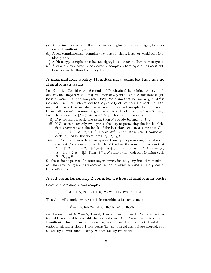- (a) A maximal non-weakly-Hamiltonian d-complex that has no (tight, loose, or weak) Hamiltonian paths.
- (b) A self-complementary complex that has no (tight, loose, or weak) Hamiltonian paths.
- (c) A Dirac-type complex that has no (tight, loose, or weak) Hamiltonian cycles.
- (d) A strongly connected, 2-connected 2-complex whose square has no (tight, loose, or weak) Hamiltonian cycles.

# A maximal non-weakly-Hamiltonian  $d$ -complex that has no Hamiltonian paths

Let  $d \geq 1$ . Consider the d-complex W<sup>d</sup> obtained by joining the  $(d-1)$ dimensional simplex with a disjoint union of 3 points.  $W<sup>d</sup>$  does not have (tight, loose or weak) Hamiltonian path [BSV]. We claim that for any  $d \geq 2$ ,  $W^d$  is inclusion-maximal with respect to the property of not having a weak Hamiltonian path. In fact, let us label the vertices of the  $(d-1)$ -simplex by  $1, \ldots, d$  and let us call "apices" the remaining three vertices, labeled by  $d+1, d+2, d+3$ . Let F be a subset of  $d+3$  size  $d+1 \geq 3$ . There are three cases:

- (i) If F contains exactly one apex, then F already belongs to  $W^d$ .
- (ii) If  $F$  contains exactly two apices, then up to permuting the labels of the first d vertices and the labels of the last three we can assume that  $F =$  $[1, 2, \ldots, d-1, d+2, d+3]$ . Hence  $W^d \cup F$  admits a weak Hamiltonian cycle formed by the three faces  $H_1, H_{d+3}, F$ .
- (iii) If  $F$  contains exactly three apices, then up to permuting the labels of the first  $d$  vertices and the labels of the last three we can assume that  $F = [1, 2, \ldots, d - 2, d + 1, d + 2, d + 3]$  (In case  $d = 2$ , F is simply  $[d+1, d+2, d+3]$ .) Then  $W^d \cup F$  admits the weak Hamiltonian cycle  $H_1, H_{d+3}, F.$

So the claim is proven. In contrast, in dimension one, any inclusion-maximal non-Hamiltonian graph is traceable, a result which is used in the proof of Chvatal's theorem.

#### A self-complementary 2-complex without Hamiltonian paths

Consider the 2-dimensional complex

 $A = 135, 234, 124, 136, 125, 235, 145, 123, 126, 134.$ 

This A is self-complementary: it is isomorphic to its complement

$$
A^c = 146, 156, 236, 245, 246, 256, 345, 346, 356, 456
$$

via the map  $1 \rightarrow 6$ ,  $2 \rightarrow 5$ ,  $3 \rightarrow 4$ ,  $4 \rightarrow 2$ ,  $5 \rightarrow 3$ ,  $6 \rightarrow 1$ . Yet A is neither traceable nor weakly-traceable by our software  $[11]$ . Note that A is weakly-Hamiltonian but not weakly-traceable, and under-closed but not chordal. In contrast, all under-closed 1-complexes (i.e. all interval graphs) are chordal, and all weakly-Hamiltonian 1-complexes are weakly-traceable.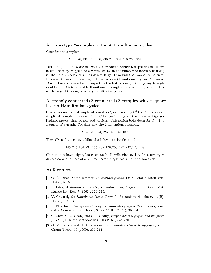# A Dirac-type 2-complex without Hamiltonian cycles

Consider the complex

 $B = 126, 136, 146, 156, 236, 246, 356, 456, 256, 346.$ 

Vertices 1, 2, 3, 4, 5 are in exactly four facets; vertex 6 is present in all ten facets. So if by "degree" of a vertex we mean the number of facets containing it, then every vertex of  $B$  has degree larger than half the number of vertices. However, B does not have (tight, loose, or weak) Hamiltonian cycles. Moreover,  $B$  is inclusion-maximal with respect to the last property: Adding any triangle would turn B into a weakly-Hamiltonian complex. Furthermore, B also does not have (tight, loose, or weak) Hamiltonian paths.

# A strongly connected (2-connected) 2-complex whose square has no Hamiltonian cycles

Given a d-dimensional simplicial complex  $C$ , we denote by  $C^2$  the d-dimensional simplicial complex obtained from  $C$  by performing all the bistellar flips (or Pachner moves) that do not add vertices. This notion boils down for  $d = 1$  to a square of a graph. Consider now the 2-dimensional complex

 $C = 123, 124, 125, 156, 148, 137.$ 

Then  $C^2$  is obtained by adding the following triangles to C:

145, 245, 134, 234, 135, 235, 126, 256, 127, 237, 128, 248.

 $C<sup>2</sup>$  does not have (tight, loose, or weak) Hamiltonian cycles. In contrast, in dimension one, square of any 2-connected graph has a Hamiltonian cycle.

# References

- [1] G. A. Dirac, *Some theorems on abstract graphs*, Proc. London Math. Soc.  $(1952), 69-81.$
- [2] L. Pósa, A theorem concerning Hamilton lines, Magyar Tud. Akad. Mat. Kutato Int. Kozl 7 (1962), 225-226.
- [3] V. Chvátal, On Hamilton's Ideals, Journal of combinatorial theory  $12(B)$ ,  $(1972), 163-168.$
- [4] H. Fleischner, The square of every two-connected graph is Hamiltonian, Journal of Combinatorial Theory, Series 16(B), (1974), 29--34.
- [5] C. Chen, C. C. Chang and G. J. Chang, Proper interval graphs and the guard problem, Discrete Mathematics  $170$  (1997),  $223-230$ .
- [6] G. Y. Katona and H. A. Kierstead, Hamiltonian chains in hypergraphs, J. Graph Theory 30 (1999), 205-212.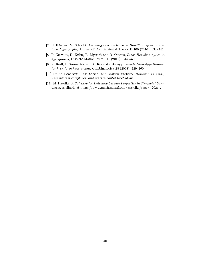- [7] H. Han and M. Schacht, Dirac-type results for loose Hamilton cycles in uniform hypergraphs, Journal of Combinatorial Theory B  $100$  (2010), 332-346.
- [8] P. Keevash, D. Kuhn, R. Mycroft and D. Osthus, Loose Hamilton cycles in hypergraphs, Discrete Mathematics  $311$  (2011),  $544-559$ .
- [9] V. Rodl, E. Szemerédi, and A. Ruciński, An approximate Dirac-type theorem for k-uniform hypergraphs, Combinatorica  $28$  (2008),  $229-260$ .
- [10] Bruno Benedetti, Lisa Seccia, and Matteo Varbaro, Hamiltonian paths, unit-interval complexes, and determinantal facet ideals.
- [11] M. Pavelka, A Software for Detecting Closure Properties in Simplicial Complexes, available at https://www.math.miami.edu/ pavelka/scpc/ (2021).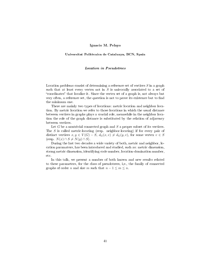#### Ignacio M. Pelayo

#### Universitat Politecnica de Catalunya, BCN, Spain

#### Location in Pseudotrees

Location problems consist of determining a reference set of vertices  $S$  in a graph such that at least every vertex not in  $S$  is univocally associated to a set of "coordinates" that localize it. Since the vertex set of a graph is, not always but very often, a reference set, the question is not to prove its existence but to find the minimum one.

There are mainly two types of locations: metric location and neighbor location. By metric location we refer to those locations in which the usual distance between vertices in graphs plays a crucial role, meanwhile in the neighbor location the role of the graph distance is substituted by the relation of adjacency between vertices.

Let  $G$  be a nontrivial connected graph and  $S$  a proper subset of its vertices. The S is called metric-locating (resp. neighbor-locating) if for every pair of distinct vertices  $x, y \in V(G) - S$ ,  $d_G(x, v) \neq d_G(y, v)$ , for some vertex  $v \in S$  $(\text{resp. } N(x) \cap S \neq N(y) \cap S).$ 

During the last two decades a wide variety of both, metric and neighbor, location paramaters, has been introduced and studied, such as: metric dimension, strong metric dimension, identifying code number, location-domination number, etc.

In this talk, we present a number of both known and new results related to these parameters, for the class of pseudotrees, i,e., the family of connected graphs of order n and size m such that  $n - 1 \le m \le n$ .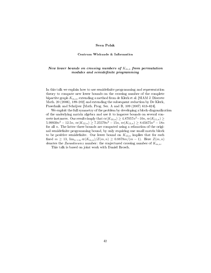#### Sven Polak

#### Centrum Wiskunde & Informatica

# New lower bounds on crossing numbers of  $K_{m,n}$  from permutation modules and semidefinite programming

In this talk we explain how to use semidefinite programming and representation theory to compute new lower bounds on the crossing number of the complete bipartite graph  $K_{m,n}$ , extending a method from de Klerk et al. [SIAM J. Discrete Math. 20 (2006), 189-202] and extending the subsequent reduction by De Klerk, Pasechnik and Schrijver [Math. Prog. Ser. A and B, 109 (2007) 613-624].

We exploit the full symmetry of the problem by developing a block-diagonalization of the underlying matrix algebra and use it to improve bounds on several concrete instances. Our results imply that  $\mathrm{cr}(K_{10,n}) \geq 4.87057n^2 - 10n, \, \mathrm{cr}(K_{11,n}) \geq 0$  $5.99939n^2 - 12.5n$ ,  $\operatorname{cr}(K_{12,n}) \ge 7.25579n^2 - 15n$ ,  $\operatorname{cr}(K_{13,n}) \ge 8.65675n^2 - 18n$ for all  $n$ . The latter three bounds are computed using a relaxation of the original semidefinite programming bound, by only requiring one small matrix block to be positive semidefinite. Our lower bound on  $K_{13,n}$  implies that for each fixed  $m \geq 13$ ,  $\lim_{n \to \infty} \frac{cr(K_{m,n})}{Z(m,n)} \geq 0.8878m/(m-1)$ . Here  $Z(m,n)$ denotes the Zarankiewicz number: the conjectured crossing number of  $K_{m,n}$ .

This talk is based on joint work with Daniel Brosch.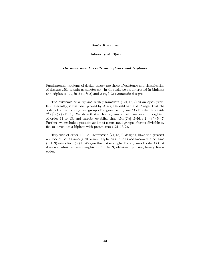#### Sanja Rukavina

#### University of Rijeka

#### On some recent results on biplanes and triplanes

Fundamental problems of design theory are those of existence and classification of designs with certain parameter set. In this talk we are interested in biplanes and triplanes, i.e., in  $2-(v, k, 2)$  and  $2-(v, k, 3)$  symmetric designs.

The existence of a biplane with parameters (121, 16, 2) is an open problem. Recently, it has been proved by Alavi, Daneshkhah and Praeger that the order of an automorphism group of a possible biplane  $D$  of order 14 divide  $2^7 \cdot 3^2 \cdot 5 \cdot 7 \cdot 11 \cdot 13$ . We show that such a biplane do not have an automorphism of order 11 or 13, and thereby establish that  $|Aut(\mathcal{D})|$  divides  $2^7 \cdot 3^2 \cdot 5 \cdot 7$ . Further, we exclude a possible action of some small groups of order divisible by five or seven, on a biplane with parameters  $(121, 16, 2)$ .

Triplanes of order 12, i.e. symmetric (71, 15, 3) designs, have the greatest number of points among all known triplanes and it is not known if a triplane  $(v, k, 3)$  exists for  $v > 71$ . We give the first example of a triplane of order 12 that does not admit an automorphism of order 3, obtained by using binary linear codes.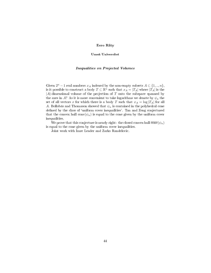# Eero Räty

#### Umea Universitet

#### Inequalities on Projected Volumes

Given  $2^n - 1$  real numbers  $x_A$  indexed by the non-empty subsets  $A \subset \{1, ..., n\}$ , is it possible to construct a body  $T \subset \mathbb{R}^n$  such that  $x_A = |T_A|$  where  $|\tilde{T_A}|$  is the  $|A|$ -dimensional volume of the projection of T onto the subspace spanned by the axes in A? As it is more convenient to take logarithms we denote by  $\psi_n$  the set of all vectors x for which there is a body T such that  $x_A = \log |T_A|$  for all A. Bollobás and Thomason showed that  $\psi_n$  is contained in the polyhedral cone defined by the class of 'uniform cover inequalities'. Tan and Zeng conjectured that the convex hull conv $(\psi_n)$  is equal to the cone given by the uniform cover inequalities.

We prove that this conjecture is nearly right: the closed convex hull  $\overline{\text{conv}}(\psi_n)$ is equal to the cone given by the uniform cover inequalities.

Joint work with Imre Leader and Zarko Randelovic.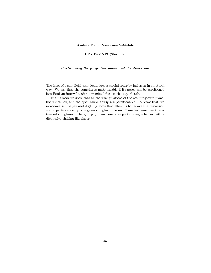# Andrés David Santamaría-Galvis

#### UP - FAMNIT (Slovenia)

# Partitioning the projective plane and the dunce hat

The faces of a simplicial complex induce a partial order by inclusion in a natural way. We say that the complex is partitionable if its poset can be partitioned into Boolean intervals, with a maximal face at the top of each.

In this work we show that all the triangulations of the real projective plane, the dunce hat, and the open Möbius strip are partitionable. To prove that, we introduce simple yet useful gluing tools that allow us to reduce the discussion about partitionability of a given complex in terms of smaller constituent relative subcomplexes. The gluing process generates partitioning schemes with a distinctive shelling-like flavor.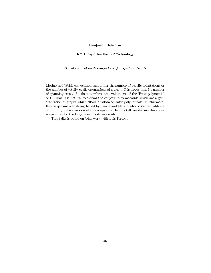# Benjamin Schroter

#### KTH Royal Institute of Technology

# On Merino-Welsh conjecture for split matroids

Merino and Welsh conjectured that either the number of acyclic orientations or the number of totally cyclic orientations of a graph G is larger than its number of spanning trees. All three numbers are evaluations of the Tutte polynomial of G. Thus it is natural to extend the conjecture to matroids which are a generalization of graphs which allows a notion of Tutte polynomials. Furthermore, this conjecture was strengthened by Conde and Merino who posted an additive and multiplicative version of this conjecture. In this talk we discuss the above conjectures for the large case of split matroids.

This talks is based on joint work with Luis Ferroni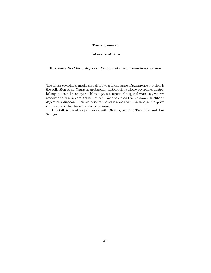# Tim Seynnaeve

#### University of Bern

# Maximum likelihood degrees of diagonal linear covariance models

The linear covariance model associated to a linear space of symmetric matrices is the collection of all Gaussian probability distributions whose covariance matrix belongs to said linear space. If the space consists of diagonal matrices, we can associate to it a representable matroid. We show that the maximum likelihood degree of a diagonal linear covariance model is a matroid invariant, and express it in terms of the characteristic polynomial.

This talk is based on joint work with Christopher Eur, Tara Fife, and Jose Samper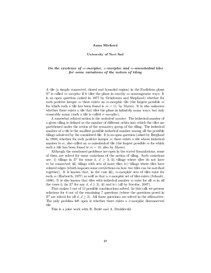#### Anna Slivkova

#### University of Novi Sad

# On the existence of m-morphic,  $\sigma$ -morphic and m-anisohedral tiles for some variations of the notion of tiling

A tile (a simply connected, closed and bounded region) in the Euclidean plane  $\mathbb{E}^2$  is called *m-morphic* if it tiles the plane in exactly *m* noncongruent ways. It is an open question (asked in 1977 by Grünbaum and Shephard) whether for each positive integer  $m$  there exists an  $m$ -morphic tile (the largest possible  $m$ for which such a tile has been found is  $m = 11$ , by Myers). It is also unknown whether there exists a tile that tiles the plane in infinitely many ways, but only countably many (such a tile is called  $\sigma$ -morphic).

A somewhat related notion is the isohedral number. The isohedral number of a given tiling is defined as the number of different orbits into which the tiles are partitioned under the action of the symmetry group of the tiling. The isohedral number of a tile is the smallest possible isohedral number among all the possible tilings admitted by the considered tile. It is an open question (asked by Berglund in 1993) whether for each positive integer m there exists a tile whose isohedral number is  $m$ , also called an  $m$ -anisohedral tile (the largest possible  $m$  for which such a tile has been found is  $m = 10$ , also by Myers).

Although the mentioned problems are open in the stated formulations, some of them are solved for some variations of the notion of tiling. Such variations are: i) tilings in  $\mathbb{E}^d$  for some d,  $d \geq 3$ ; ii) tilings where tiles do not have to be connected; iii) tilings with sets of more tiles; iv) tilings where tiles have colored edges (which imposes some restrictions on how two tiles can be matched together). It is known that, in the case iii),  $m$ -morphic sets of tiles exist for each m (Harborth, 1977) as well as that a  $\sigma$ -morphic set of tiles exists (Schmitt, 1986). It is also known that tiles with isohedral number  $m$  exist for all  $m$  in all the cases i) (in  $\mathbb{E}^d$  for any  $d, d \geq 3$ ), ii) and iv) (all by Socolar, 2007).

That makes 5 out of 12 possible combinations solved. In this talk we present solutions for 6 out of the remaining 7 questions (where the questions posed in  $\mathbb{E}^d$  are solved for all  $d, d \geq 3$ ). All these questions are solved in the affirmative. The only problem left open is whether there exists a  $\sigma$ -morphic disconnected tile.

This is a joint work with B. Bašić and A. Džuklevski.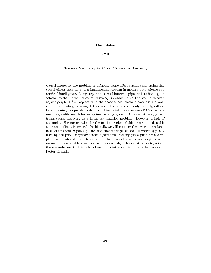# Liam Solus

# KTH

#### Discrete Geometry in Causal Structure Learning

Causal inference, the problem of inferring cause-effect systems and estimating causal effects from data, is a fundamental problem in modern data science and artificial intelligence. A key step in the causal inference pipeline is to find a good solution to the problem of causal discovery, in which we want to learn a directed acyclic graph (DAG) representing the cause-effect relations amongst the variables in the data-generating distribution. The most commonly used algorithms for addressing this problem rely on combinatorial moves between DAGs that are used to greedily search for an optimal scoring system. An alternative approach treats causal discovery as a linear optimization problem. However, a lack of a complete H-representation for the feasible region of this program makes this approach difficult in general. In this talk, we will consider the lower-dimensional faces of this convex polytope and find that its edges encode all moves typically used by the popular greedy search algorithms. We suggest a push for a complete combinatorial characterization of the edges of this convex polytope as a means to more reliable greedy causal discovery algorithms that can out-perform the state-of-the-art. This talk is based on joint work with Svante Linusson and Petter Restadh.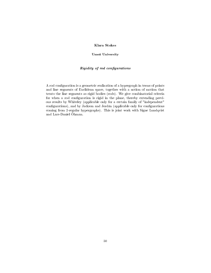# Klara Stokes

#### Umea University

# Rigidity of rod configurations

A rod configuration is a geometric realization of a hypergraph in terms of points and line segments of Euclidean space, together with a notion of motion that treats the line segments as rigid bodies (rods). We give combinatorial criteria for when a rod configuration is rigid in the plane, thereby extending previous results by Whiteley (applicable only for a certain family of "independent" configurations), and by Jackson and Jordán (applicable only for configurations coming from 2-regular hypergraphs). This is joint work with Signe Lundqvist and Lars-Daniel Ohman.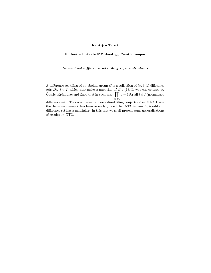# Kristijan Tabak

Rochester Institute if Technology, Croatia campus

# Normalized difference sets tiling - generalizations

A difference set tiling of an abelian group G is a collection of  $(v, k, \lambda)$  difference sets  $D_i, i \in I$ , which also make a partition of  $G \setminus \{1\}$ . It was conjectured by Ćustić, Krčadinac and Zhou that in such case  $\prod$  $g \in D_i$  $g = 1$  for all  $i \in I$  (normalized

difference set). This was named a 'normalized tiling conjecture' or NTC. Using the character theory it has been recently proved that NTC is true if  $v$  is odd and difference set has a multiplier. In this talk we shall present some generalizations of results on NTC.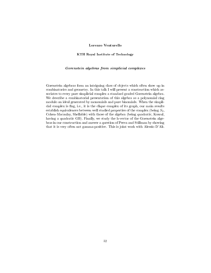# Lorenzo Venturello

#### KTH Royal Institute of Technology

#### Gorenstein algebras from simplicial complexes

Gorenstein algebras form an intriguing class of objects which often show up in combinatorics and geometry. In this talk I will present a construction which associates to every pure simplicial complex a standard graded Gorenstein algebra. We describe a combinatorial presentation of this algebra as a polynomial ring modulo an ideal generated by monomials and pure binomials. When the simplicial complex is flag, i.e., it is the clique complex of its graph, our main results establish equivalences between well studied properties of the complex (being  $S_2$ , Cohen-Macaulay, Shellable) with those of the algebra (being quadratic, Koszul, having a quadratic GB). Finally, we study the h-vector of the Gorenstein algebras in our construction and answer a question of Peeva and Stillman by showing that it is very often not gamma-positive. This is joint work with Alessio D'Al.